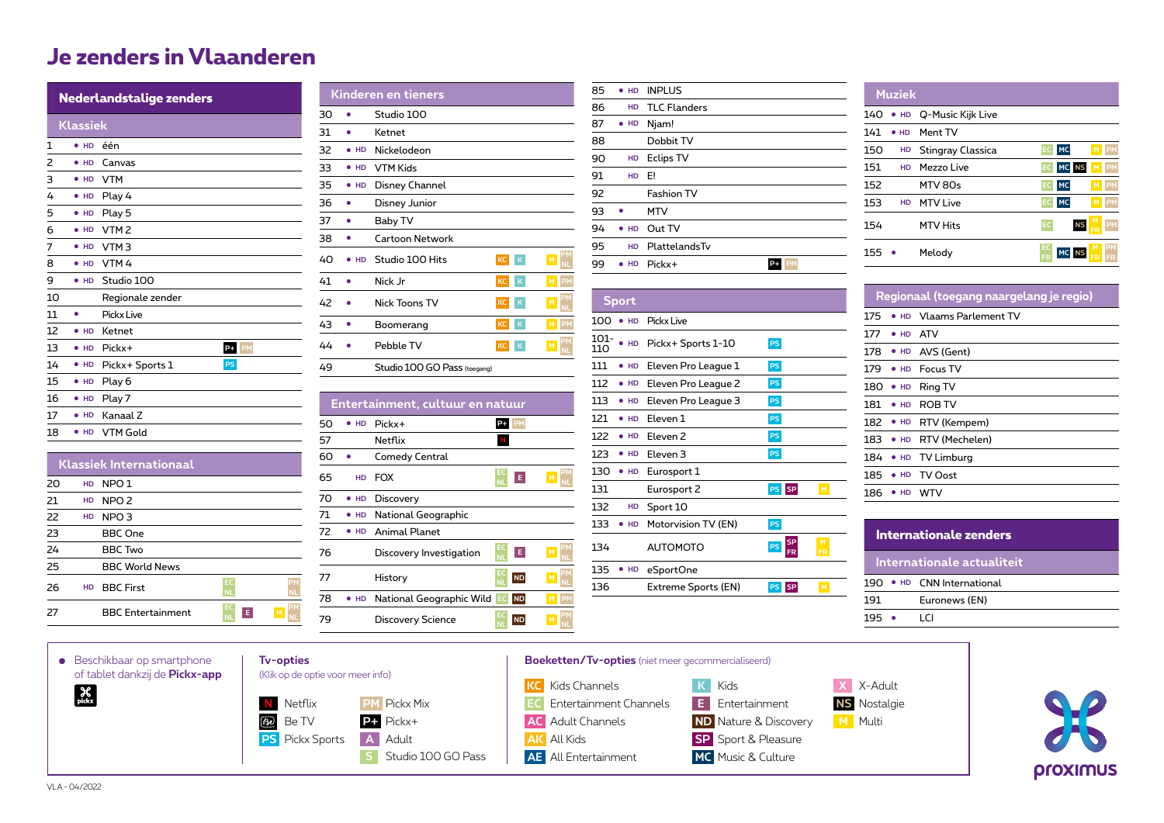## **Je zenders in Vlaanderen**

|    | Nederlandstalige zenders |                  |           |  |  |
|----|--------------------------|------------------|-----------|--|--|
|    | <b>Klassiek</b>          |                  |           |  |  |
| 1  | • H <sub>D</sub>         | één              |           |  |  |
| 2  | $\bullet$ HD             | Canvas           |           |  |  |
| 3  | HD                       | <b>VTM</b>       |           |  |  |
| 4  | $\bullet$ HD             | Play 4           |           |  |  |
| 5  | • H <sub>D</sub>         | Play 5           |           |  |  |
| 6  | $\bullet$ HD             | VTM <sub>2</sub> |           |  |  |
| 7  | <b>HD</b>                | VTM <sub>3</sub> |           |  |  |
| 8  | $\bullet$ HD             | VTM4             |           |  |  |
| 9  | $\bullet$ HD             | Studio 100       |           |  |  |
| 10 |                          | Regionale zender |           |  |  |
| 11 | ٠                        | Pickx Live       |           |  |  |
| 12 | HD                       | Ketnet           |           |  |  |
| 13 | $\bullet$ HD             | Pickx+           | $P+$ PM   |  |  |
| 14 | $\bullet$ HD             | Pickx+ Sports 1  | <b>PS</b> |  |  |
| 15 | $\bullet$ HD             | Play 6           |           |  |  |
| 16 | $\bullet$ HD             | Play 7           |           |  |  |
| 17 | HD                       | Kanaal Z         |           |  |  |
| 18 | HD                       | <b>VTM Gold</b>  |           |  |  |

**Klassiek Internationaal**

27 **BBC** Entertainment

**PM**

**NL E M PM**

20 **HD** NPO 1 21 **HD** NPO 2 22 **HD** NPO 3 23 BBC One 24 BBC Two 25 BBC World News **26 HD** BBC First

|    |              | Kinderen en tieners          |           |        |                |
|----|--------------|------------------------------|-----------|--------|----------------|
| 30 |              | Studio 100                   |           |        |                |
| 31 |              | Ketnet                       |           |        |                |
| 32 | HD           | Nickelodeon                  |           |        |                |
| 33 | $\bullet$ HD | VTM Kids                     |           |        |                |
| 35 | <b>HD</b>    | Disney Channel               |           |        |                |
| 36 |              | Disney Junior                |           |        |                |
| 37 |              | Baby TV                      |           |        |                |
| 38 |              | Cartoon Network              |           |        |                |
| 40 | HD           | Studio 100 Hits              | KC K      |        | M              |
| 41 |              | Nick Jr                      | KC        | K      | <b>PM</b><br>M |
| 42 |              | Nick Toons TV                | <b>KC</b> | K      | M<br><b>NL</b> |
| 43 |              | Boomerang                    | <b>KC</b> | $\,$ K | <b>PM</b><br>M |
| 44 |              | Pebble TV                    | KC        | K      | M              |
| 49 |              | Studio 100 GO Pass (toegang) |           |        |                |

**Entertainment, cultuur en natuur** 50 ● **HD** Pickx+ **P+ PM**  57 **Netflix** N

60 ● Comedy Central

71 . **HD** National Geographic 72 ● **HD** Animal Planet

76 Discovery Investigation

79 Discovery Science

78 ● **HD** National Geographic Wild EC ND

65 **HD** FOX **EC**

70 ● **HD** Discovery

77 History

| 85 | $\bullet$ HD | <b>INPLUS</b>       |  |
|----|--------------|---------------------|--|
| 86 | HD           | <b>TLC Flanders</b> |  |
| 87 | $\bullet$ HD | Njam!               |  |
| 88 |              | Dobbit TV           |  |
| 90 | HD           | <b>Eclips TV</b>    |  |
| 91 | HD           | E!                  |  |
| 92 |              | <b>Fashion TV</b>   |  |
| 93 |              | <b>MTV</b>          |  |
| 94 | $\bullet$ HD | Out TV              |  |
| 95 | HD           | PlattelandsTv       |  |
| 99 | $\bullet$ HD | Pickx+              |  |

● **HD** Pickx+ Sports 1-10 111 ● **HD** Eleven Pro League 1 112 ● **HD** Eleven Pro League 2 **PS**  113 ● **HD** Eleven Pro League 3 **PS**  121 ● **HD** Eleven 1 122 ● **HD** Eleven 2 123 ● **HD** Eleven 3

131 Eurosport 2<sup>PS</sup> SP

136 Extreme Sports (EN) PS SP

**PS SP**<br>FR

133 ● **HD** Motorvision TV (EN) **PS** 

**Sport** 100 ● **HD** Pickx Live

130 ● **HD** Eurosport 1

132 **HD** Sport 10

134 **AUTOMOTO** 

135 ● **HD** eSportOne

101-

| <b>Muziek</b>       |                   |                               |
|---------------------|-------------------|-------------------------------|
| 140<br>$\bullet$ HD | Q-Music Kijk Live |                               |
| 141<br>$\bullet$ HD | Ment TV           |                               |
| 150<br>HD           | Stingray Classica | <b>MC</b><br>PM<br>EC         |
| 151<br>HD           | Mezzo Live        | MC NS<br><b>IPM</b><br>EC     |
| 152                 | MTV 80s           | <b>MC</b><br>PM<br>EC         |
| 153<br>HD           | MTV I ive         | <b>MC</b><br>PM<br>EC         |
| 154                 | MTV Hits          | <b>NS</b><br>EC<br><b>PM</b>  |
| 155                 | Melody            | <b>PM</b><br>M<br>MC NS<br>FR |

|                     | Regionaal (toegang naargelang je regio) |  |  |  |  |
|---------------------|-----------------------------------------|--|--|--|--|
| 175                 | • HD Vlaams Parlement TV                |  |  |  |  |
| 177                 | $\bullet$ HD ATV                        |  |  |  |  |
|                     | 178 • HD AVS (Gent)                     |  |  |  |  |
| 179                 | • HD Focus TV                           |  |  |  |  |
| 180<br>$\bullet$ HD | Ring TV                                 |  |  |  |  |
| 181<br>$\bullet$ HD | ROB TV                                  |  |  |  |  |
|                     | 182 • HD RTV (Kempem)                   |  |  |  |  |
|                     | 183 • HD RTV (Mechelen)                 |  |  |  |  |
|                     | 184 • HD TV Limburg                     |  |  |  |  |
| 185                 | • HD TV Oost                            |  |  |  |  |
| 186<br>HD           | WTV                                     |  |  |  |  |

| Internationale zenders |                            |  |  |  |
|------------------------|----------------------------|--|--|--|
|                        | Internationale actualiteit |  |  |  |
|                        | 190 • HD CNN International |  |  |  |
| 191                    | Euronews (EN)              |  |  |  |
| 195                    | ו זו                       |  |  |  |

proximus



**EC E** 

**NL E M PM**

**ND** 

**ND**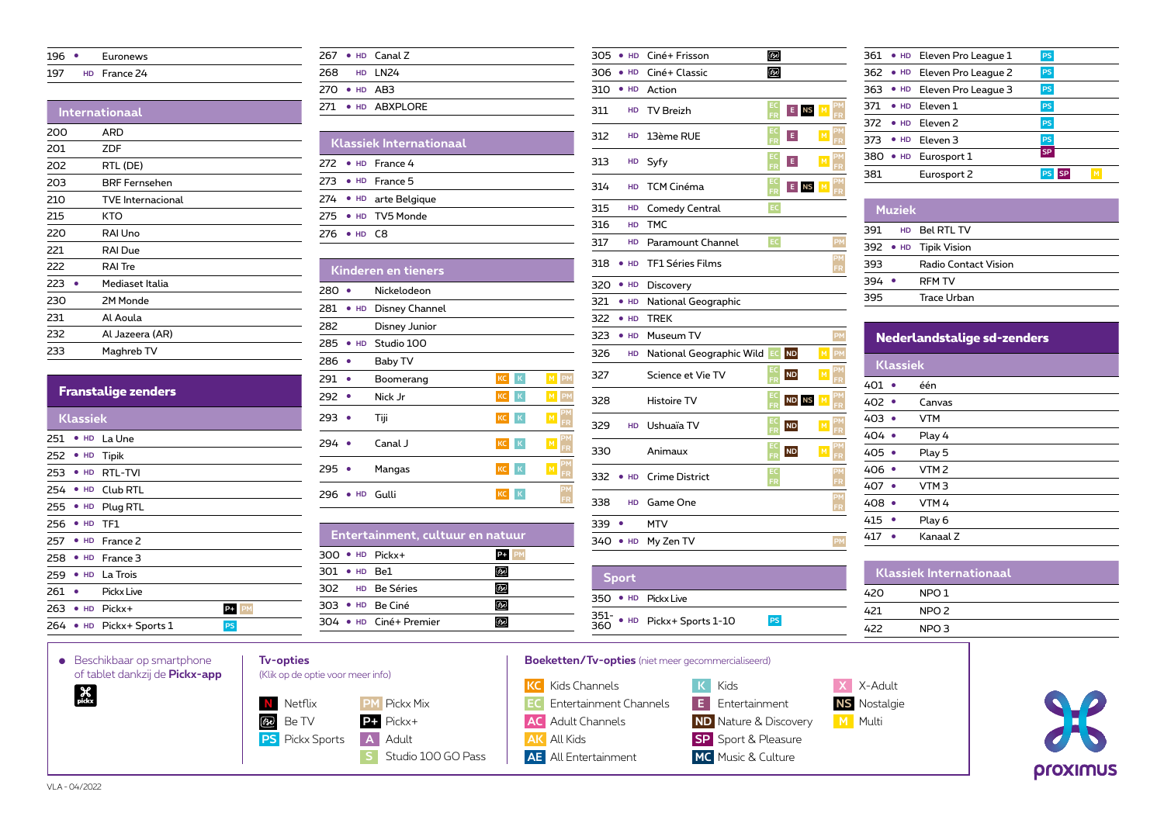| 196 | Euronews     |  |
|-----|--------------|--|
| 197 | HD France 24 |  |

## **Internationaal**

| 200 | ARD                      |
|-----|--------------------------|
| 201 | ZDF                      |
| 202 | RTL (DE)                 |
| 203 | <b>BRF Fernsehen</b>     |
| 210 | <b>TVE</b> Internacional |
| 215 | KTO                      |
| 220 | RAI Uno                  |
| 221 | RAI Due                  |
| 222 | <b>RAI</b> Tre           |
| 223 | Mediaset Italia          |
| 230 | 2M Monde                 |
| 231 | Al Aoula                 |
| 232 | Al Jazeera (AR)          |
| 233 | Maghreb TV               |
|     |                          |

|                            | $291$ $\bullet$       | Boomerang             |
|----------------------------|-----------------------|-----------------------|
| <b>Franstalige zenders</b> | $292$ $\bullet$       | Nick Jr               |
| <b>Klassiek</b>            | $293$ $\bullet$       | Tiji                  |
| 251 • HD La Une            | $294$ $\bullet$       | Canal J               |
| 252 • HD Tipik             |                       |                       |
| 253 • HD RTL-TVI           | $295$ $\bullet$       | Mangas                |
| 254 • HD Club RTL          | $296 \cdot HD$ Gulli  |                       |
| 255 • HD Plug RTL          |                       |                       |
| 256 • HD TF1               |                       |                       |
| 257 • HD France 2          |                       | Entertainment, cultuu |
| 258 • HD France 3          | $300 \cdot HD$ Pickx+ |                       |
|                            |                       |                       |

|  |                    | $267 \cdot \text{HD}$ Canal Z |
|--|--------------------|-------------------------------|
|  |                    | 268 HD LN24                   |
|  | $270 \cdot HD$ AR3 |                               |
|  |                    | 271 • HD ARXPIORE             |
|  |                    |                               |

|             | <b>Klassiek Internationaal</b> |                           |  |  |
|-------------|--------------------------------|---------------------------|--|--|
|             |                                | 272 $\bullet$ HD France 4 |  |  |
|             |                                | 273 ● HD France 5         |  |  |
|             |                                | 274 • HD arte Belgique    |  |  |
|             |                                | 275 . HD TV5 Monde        |  |  |
| 276 ● HD C8 |                                |                           |  |  |

|           | <b>Kinderen en tieners</b> |           |                  |           |  |  |
|-----------|----------------------------|-----------|------------------|-----------|--|--|
| 280       | Nickelodeon                |           |                  |           |  |  |
| HD<br>281 | Disney Channel             |           |                  |           |  |  |
| 282       | Disney Junior              |           |                  |           |  |  |
| 285<br>HD | Studio 100                 |           |                  |           |  |  |
| 286       | Baby TV                    |           |                  |           |  |  |
| 291       | Boomerang                  | KC        | K<br>M           | <b>PM</b> |  |  |
| 292       | Nick Jr                    | KC        | $\mathbf K$<br>M | PM        |  |  |
| 293       | Tiji                       | <b>KC</b> | K<br>M           | FR        |  |  |
| 294       | Canal J                    | <b>KC</b> | K<br>M           | FR        |  |  |
| 295       | Mangas                     | KC        | $\mathbf K$<br>M | FR        |  |  |
| 296<br>HD | Gulli                      | KC        | К                | PM<br>FR  |  |  |

|                       | Entertainment, cultuur en natuur |  |
|-----------------------|----------------------------------|--|
| $300 \cdot HD$ Pickx+ |                                  |  |
| $301 \cdot HD$ Re1    |                                  |  |
|                       | 302 HD Be Séries                 |  |
| 303 · HD Be Ciné      |                                  |  |
|                       | 304 • HD Ciné+ Premier           |  |

| 305 | HD           | Ciné+ Frisson            | ക്ര           |           |   |          |
|-----|--------------|--------------------------|---------------|-----------|---|----------|
| 306 | $\bullet$ HD | Ciné+ Classic            | சூ            |           |   |          |
| 310 | $\bullet$ HD | Action                   |               |           |   |          |
| 311 | HD           | <b>TV Breizh</b>         | EC<br>FR      | E NS M    |   | PM<br>FR |
| 312 | HD           | 13ème RUE                | EC<br>FR      | E         | M | PM<br>FR |
| 313 | HD           | Syfy                     | EC<br>FR      | E         | M | PM<br>FR |
| 314 | HD           | TCM Cinéma               | EC<br>FR      | E NS      | M | PM<br>FR |
| 315 | HD           | <b>Comedy Central</b>    | EC.           |           |   |          |
| 316 | HD           | <b>TMC</b>               |               |           |   |          |
| 317 | HD           | Paramount Channel        | $\mathsf{EC}$ |           |   | PM       |
| 318 | HD           | <b>TF1 Séries Films</b>  |               |           |   | PM<br>FR |
| 320 | $\bullet$ HD | Discovery                |               |           |   |          |
| 321 | $\bullet$ HD | National Geographic      |               |           |   |          |
| 322 | $\bullet$ HD | <b>TREK</b>              |               |           |   |          |
| 323 | $\bullet$ HD | Museum TV                |               |           |   | PM       |
| 326 | HD           | National Geographic Wild | EC            | <b>ND</b> | M | PM       |
| 327 |              | Science et Vie TV        | EC<br>FR      | <b>ND</b> | M | PM<br>FR |
| 328 |              | <b>Histoire TV</b>       | EC<br>FR      | ND NS     | M | PM<br>FR |
| 329 | HD           | Ushuaïa TV               | EC<br>FR      | <b>ND</b> | M |          |
|     |              |                          |               |           |   |          |

**FR ND M PM**

**PM FR**

**FR**

|     | 361 • HD Eleven Pro League 1 | <b>PS</b> |  |
|-----|------------------------------|-----------|--|
|     | 362 • HD Eleven Pro League 2 | <b>PS</b> |  |
|     | 363 • HD Eleven Pro League 3 | <b>PS</b> |  |
|     | 371 . HD Eleven 1            | <b>PS</b> |  |
|     | $372$ • HD Fleven 2          | <b>PS</b> |  |
|     | 373 • HD Eleven 3            | <b>PS</b> |  |
|     | 380 • HD Eurosport 1         | <b>SP</b> |  |
| 381 | Eurosport 2                  | M         |  |
|     |                              |           |  |

|     | <b>Muziek</b> |                       |
|-----|---------------|-----------------------|
| 391 |               | HD Bel RTL TV         |
|     |               | 392 • HD Tipik Vision |
| 393 |               | Radio Contact Vision  |
| 394 |               | <b>RFM TV</b>         |
| 395 |               | Trace Urban           |

| Nederlandstalige sd-zenders |                  |  |  |  |
|-----------------------------|------------------|--|--|--|
| <b>Klassiek</b>             |                  |  |  |  |
| 401                         | één              |  |  |  |
| 402 ●                       | Canvas           |  |  |  |
| 403                         | <b>VTM</b>       |  |  |  |
| $404$ $\bullet$             | Play 4           |  |  |  |
| $405$ $\bullet$             | Play 5           |  |  |  |
| 406 •                       | VTM <sub>2</sub> |  |  |  |
| 407                         | VTM <sub>3</sub> |  |  |  |
| 408                         | VTM <sub>4</sub> |  |  |  |
| 415                         | Play 6           |  |  |  |
| 417                         | Kanaal 7         |  |  |  |

| <b>Klassiek Internationaal</b> |                  |  |  |  |
|--------------------------------|------------------|--|--|--|
| 420                            | NPO <sub>1</sub> |  |  |  |
| 421                            | NPO <sub>2</sub> |  |  |  |
| 422                            | NPO <sub>3</sub> |  |  |  |
|                                |                  |  |  |  |



Animaux **EC**

332 ● **HD** Crime District

351- <sup>360</sup> ● **HD** Pickx+ Sports 1-10 **PS** 

**HD** Game One 339 · MTV 340 ● **HD** My Zen TV

**Sport** ● **HD** Pickx Live

 ● **HD** La Trois 261 · Pickx Live

**263 ● HD** Pickx+ P+ **P+** ● **HD** Pickx+ Sports 1 **PS**